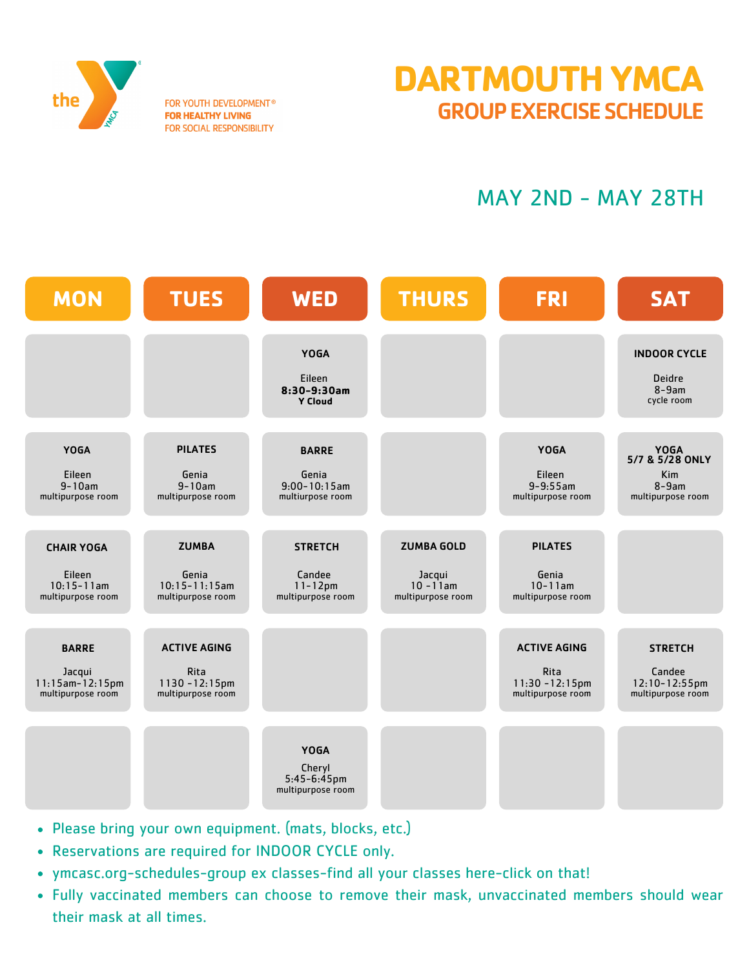

FOR YOUTH DEVELOPMENT® **FOR HEALTHY LIVING** FOR SOCIAL RESPONSIBILITY

## **DARTMOUTH YMCA** GROUP EXERCISE SCHEDULE

## MAY 2ND - MAY 28TH



- Please bring your own equipment. (mats, blocks, etc.)
- Reservations are required for INDOOR CYCLE only.
- ymcasc.org-schedules-group ex classes-find all your classes here-click on that!
- Fully vaccinated members can choose to remove their mask, unvaccinated members should wear their mask at all times.